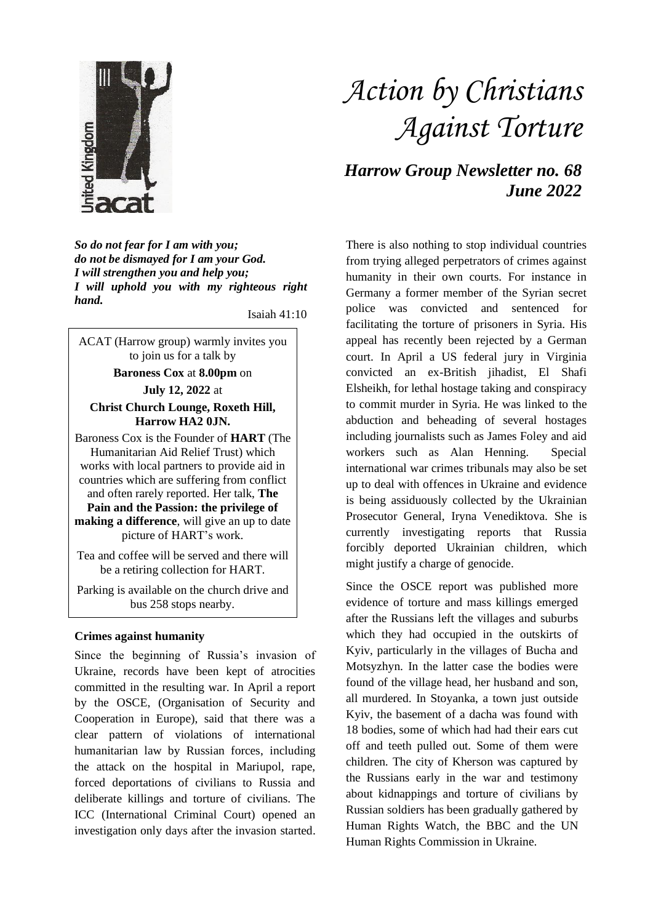

*So do not fear for I am with you; do not be dismayed for I am your God. I will strengthen you and help you; I will uphold you with my righteous right hand.*

Isaiah 41:10

ACAT (Harrow group) warmly invites you to join us for a talk by **Baroness Cox** at **8.00pm** on **July 12, 2022** at **Christ Church Lounge, Roxeth Hill, Harrow HA2 0JN.** Baroness Cox is the Founder of **HART** (The Humanitarian Aid Relief Trust) which works with local partners to provide aid in

countries which are suffering from conflict and often rarely reported. Her talk, **The Pain and the Passion: the privilege of making a difference**, will give an up to date picture of HART's work.

Tea and coffee will be served and there will be a retiring collection for HART.

Parking is available on the church drive and bus 258 stops nearby.

## **Crimes against humanity**

Since the beginning of Russia's invasion of Ukraine, records have been kept of atrocities committed in the resulting war. In April a report by the OSCE, (Organisation of Security and Cooperation in Europe), said that there was a clear pattern of violations of international humanitarian law by Russian forces, including the attack on the hospital in Mariupol, rape, forced deportations of civilians to Russia and deliberate killings and torture of civilians. The ICC (International Criminal Court) opened an investigation only days after the invasion started.

## *Action by Christians Against Torture*

*Harrow Group Newsletter no. 68 June 2022*

There is also nothing to stop individual countries from trying alleged perpetrators of crimes against humanity in their own courts. For instance in Germany a former member of the Syrian secret police was convicted and sentenced for facilitating the torture of prisoners in Syria. His appeal has recently been rejected by a German court. In April a US federal jury in Virginia convicted an ex-British jihadist, El Shafi Elsheikh, for lethal hostage taking and conspiracy to commit murder in Syria. He was linked to the abduction and beheading of several hostages including journalists such as James Foley and aid workers such as Alan Henning. Special international war crimes tribunals may also be set up to deal with offences in Ukraine and evidence is being assiduously collected by the Ukrainian Prosecutor General, Iryna Venediktova. She is currently investigating reports that Russia forcibly deported Ukrainian children, which might justify a charge of genocide.

Since the OSCE report was published more evidence of torture and mass killings emerged after the Russians left the villages and suburbs which they had occupied in the outskirts of Kyiv, particularly in the villages of Bucha and Motsyzhyn. In the latter case the bodies were found of the village head, her husband and son, all murdered. In Stoyanka, a town just outside Kyiv, the basement of a dacha was found with 18 bodies, some of which had had their ears cut off and teeth pulled out. Some of them were children. The city of Kherson was captured by the Russians early in the war and testimony about kidnappings and torture of civilians by Russian soldiers has been gradually gathered by Human Rights Watch, the BBC and the UN Human Rights Commission in Ukraine.